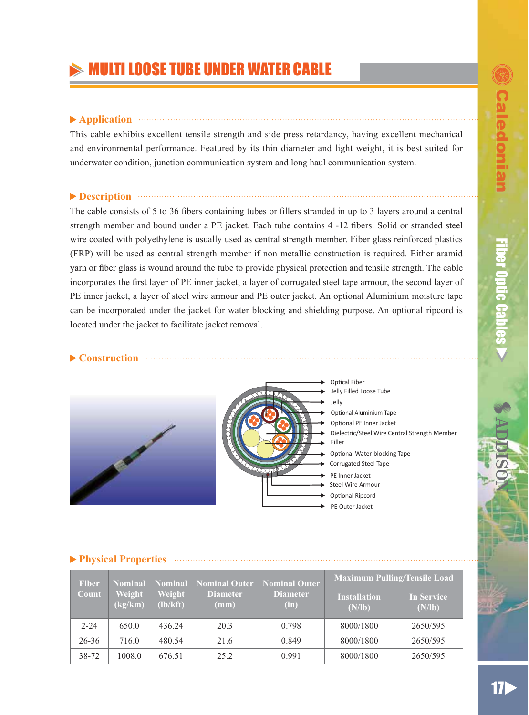# ULTI LOOSE TUBE UNDER WATER CABLE

## ▶ Application **Application**

This cable exhibits excellent tensile strength and side press retardancy, having excellent mechanical and environmental performance. Featured by its thin diameter and light weight, it is best suited for underwater condition, junction communication system and long haul communication system.

## **Description CONSERVING <b>Description**

The cable consists of 5 to 36 fibers containing tubes or fillers stranded in up to 3 layers around a central strength member and bound under a PE jacket. Each tube contains 4 -12 fibers. Solid or stranded steel wire coated with polyethylene is usually used as central strength member. Fiber glass reinforced plastics (FRP) will be used as central strength member if non metallic construction is required. Either aramid yarn or fiber glass is wound around the tube to provide physical protection and tensile strength. The cable incorporates the first layer of PE inner jacket, a layer of corrugated steel tape armour, the second layer of PE inner jacket, a layer of steel wire armour and PE outer jacket. An optional Aluminium moisture tape can be incorporated under the jacket for water blocking and shielding purpose. An optional ripcord is located under the jacket to facilitate jacket removal.

## **Construction**





Jelly Filled Loose Tube Jelly Dielectric/Steel Wire Central Strength Member Filler Optional Water-blocking Tape Corrugated Steel Tape Optional PE Inner Jacket Optical Fiber Optional Aluminium Tape Steel Wire Armour Optional Ripcord PE Inner Jacket

PE Outer Jacket

### **Physical Properties**

| <b>Fiber</b> | <b>Nominal</b>    |                    | <b>Nominal</b> Nominal Outer       | <b>Nominal Outer</b><br><b>Diameter</b><br>(in) | <b>Maximum Pulling/Tensile Load</b> |                             |
|--------------|-------------------|--------------------|------------------------------------|-------------------------------------------------|-------------------------------------|-----------------------------|
| Count        | Weight<br>(kg/km) | Weight<br>(lb/kft) | <b>Diameter</b><br>$(\mathbf{mm})$ |                                                 | <b>Installation</b><br>(N/lb)       | <b>In Service</b><br>(N/lb) |
| $2 - 24$     | 650.0             | 436.24             | 20.3                               | 0.798                                           | 8000/1800                           | 2650/595                    |
| $26 - 36$    | 716.0             | 480.54             | 21.6                               | 0.849                                           | 8000/1800                           | 2650/595                    |
| 38-72        | 1008.0            | 676.51             | 25.2                               | 0.991                                           | 8000/1800                           | 2650/595                    |